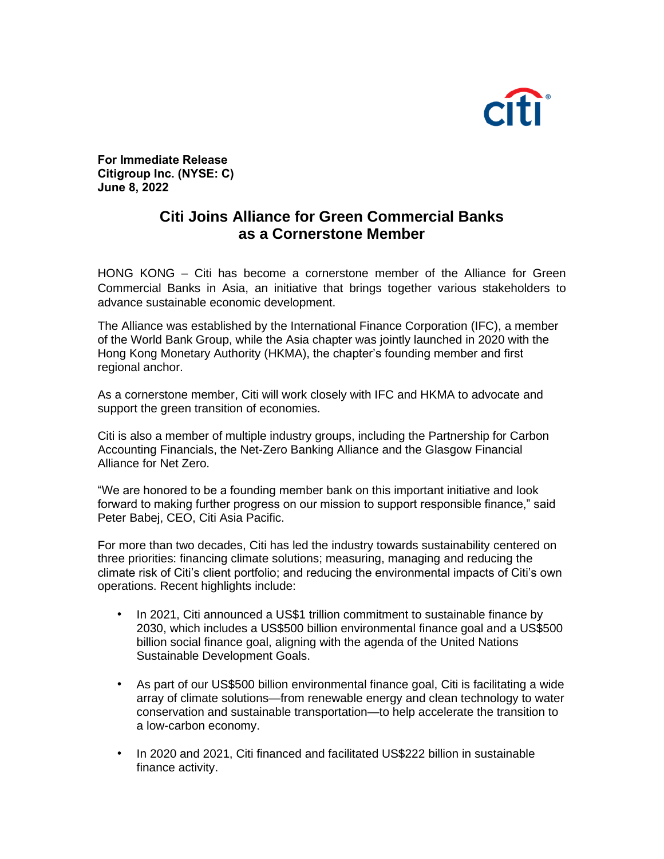

**For Immediate Release Citigroup Inc. (NYSE: C) June 8, 2022**

## **Citi Joins Alliance for Green Commercial Banks as a Cornerstone Member**

HONG KONG – Citi has become a cornerstone member of the Alliance for Green Commercial Banks in Asia, an initiative that brings together various stakeholders to advance sustainable economic development.

The Alliance was established by the International Finance Corporation (IFC), a member of the World Bank Group, while the Asia chapter was jointly launched in 2020 with the Hong Kong Monetary Authority (HKMA), the chapter's founding member and first regional anchor.

As a cornerstone member, Citi will work closely with IFC and HKMA to advocate and support the green transition of economies.

Citi is also a member of multiple industry groups, including the Partnership for Carbon Accounting Financials, the Net-Zero Banking Alliance and the Glasgow Financial Alliance for Net Zero.

"We are honored to be a founding member bank on this important initiative and look forward to making further progress on our mission to support responsible finance," said Peter Babej, CEO, Citi Asia Pacific.

For more than two decades, Citi has led the industry towards sustainability centered on three priorities: financing climate solutions; measuring, managing and reducing the climate risk of Citi's client portfolio; and reducing the environmental impacts of Citi's own operations. Recent highlights include:

- In 2021, Citi announced a US\$1 trillion commitment to sustainable finance by 2030, which includes a US\$500 billion environmental finance goal and a US\$500 billion social finance goal, aligning with the agenda of the United Nations Sustainable Development Goals.
- As part of our US\$500 billion environmental finance goal, Citi is facilitating a wide array of climate solutions—from renewable energy and clean technology to water conservation and sustainable transportation—to help accelerate the transition to a low-carbon economy.
- In 2020 and 2021, Citi financed and facilitated US\$222 billion in sustainable finance activity.